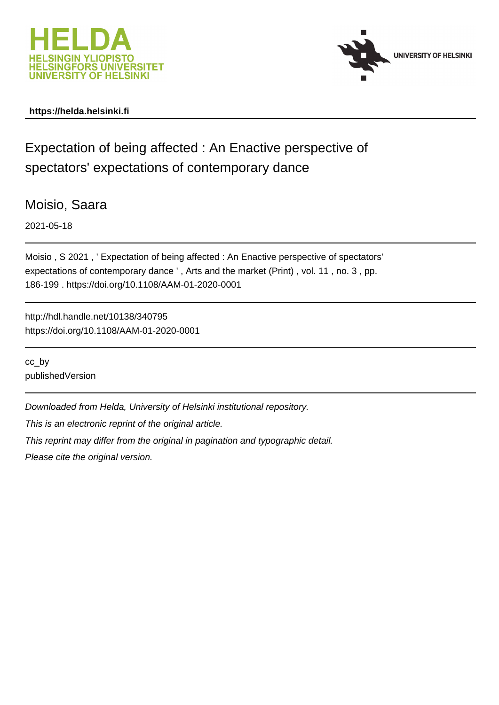



## **https://helda.helsinki.fi**

# Expectation of being affected : An Enactive perspective of spectators' expectations of contemporary dance

Moisio, Saara

2021-05-18

Moisio , S 2021 , ' Expectation of being affected : An Enactive perspective of spectators' expectations of contemporary dance ' , Arts and the market (Print) , vol. 11 , no. 3 , pp. 186-199 . https://doi.org/10.1108/AAM-01-2020-0001

http://hdl.handle.net/10138/340795 https://doi.org/10.1108/AAM-01-2020-0001

cc\_by publishedVersion

Downloaded from Helda, University of Helsinki institutional repository.

This is an electronic reprint of the original article.

This reprint may differ from the original in pagination and typographic detail.

Please cite the original version.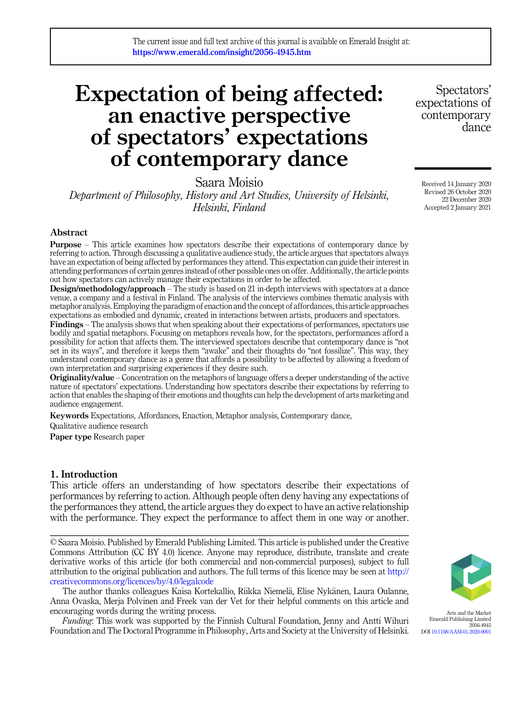# Expectation of being affected: an enactive perspective of spectators' expectations of contemporary dance

Saara Moisio

Department of Philosophy, History and Art Studies, University of Helsinki, Helsinki, Finland

## Abstract

Purpose – This article examines how spectators describe their expectations of contemporary dance by referring to action. Through discussing a qualitative audience study, the article argues that spectators always have an expectation of being affected by performances they attend. This expectation can guide their interest in attending performances of certain genres instead of other possible ones on offer. Additionally, the article points out how spectators can actively manage their expectations in order to be affected.

Design/methodology/approach – The study is based on 21 in-depth interviews with spectators at a dance venue, a company and a festival in Finland. The analysis of the interviews combines thematic analysis with metaphor analysis. Employing the paradigm of enaction and the concept of affordances, this article approaches expectations as embodied and dynamic, created in interactions between artists, producers and spectators.

Findings – The analysis shows that when speaking about their expectations of performances, spectators use bodily and spatial metaphors. Focusing on metaphors reveals how, for the spectators, performances afford a possibility for action that affects them. The interviewed spectators describe that contemporary dance is "not set in its ways", and therefore it keeps them "awake" and their thoughts do "not fossilize". This way, they understand contemporary dance as a genre that affords a possibility to be affected by allowing a freedom of own interpretation and surprising experiences if they desire such.

Originality/value – Concentration on the metaphors of language offers a deeper understanding of the active nature of spectators' expectations. Understanding how spectators describe their expectations by referring to action that enables the shaping of their emotions and thoughts can help the development of arts marketing and audience engagement.

Keywords Expectations, Affordances, Enaction, Metaphor analysis, Contemporary dance, Qualitative audience research

Paper type Research paper

## 1. Introduction

This article offers an understanding of how spectators describe their expectations of performances by referring to action. Although people often deny having any expectations of the performances they attend, the article argues they do expect to have an active relationship with the performance. They expect the performance to affect them in one way or another.

© Saara Moisio. Published by Emerald Publishing Limited. This article is published under the Creative Commons Attribution (CC BY 4.0) licence. Anyone may reproduce, distribute, translate and create derivative works of this article (for both commercial and non-commercial purposes), subject to full attribution to the original publication and authors. The full terms of this licence may be seen at [http://](http://creativecommons.org/licences/by/4.0/legalcode) [creativecommons.org/licences/by/4.0/legalcode](http://creativecommons.org/licences/by/4.0/legalcode)

The author thanks colleagues Kaisa Kortekallio, Riikka Niemelä, Elise Nykänen, Laura Oulanne, Anna Ovaska, Merja Polvinen and Freek van der Vet for their helpful comments on this article and encouraging words during the writing process.

Funding: This work was supported by the Finnish Cultural Foundation, Jenny and Antti Wihuri Foundation and The Doctoral Programme in Philosophy, Arts and Society at the University of Helsinki.

Spectators' expectations of contemporary dance

Received 14 January 2020 Revised 26 October 2020 22 December 2020 Accepted 2 January 2021



Arts and the Market Emerald Publishing Limited 2056-4945 DOI [10.1108/AAM-01-2020-0001](https://doi.org/10.1108/AAM-01-2020-0001)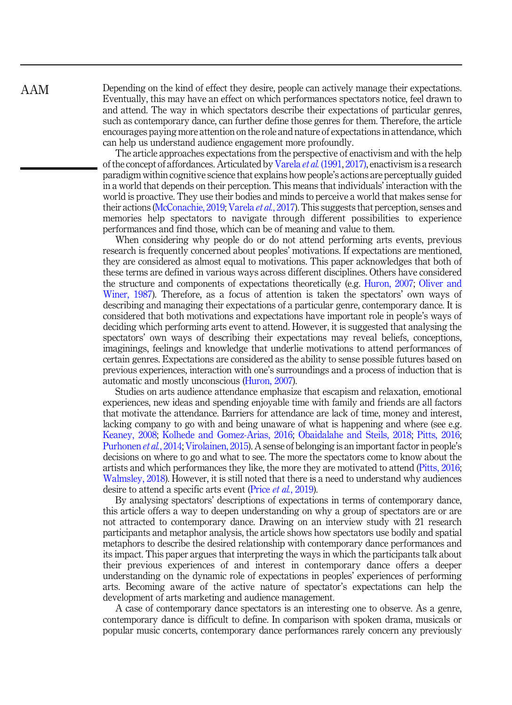Depending on the kind of effect they desire, people can actively manage their expectations. Eventually, this may have an effect on which performances spectators notice, feel drawn to and attend. The way in which spectators describe their expectations of particular genres, such as contemporary dance, can further define those genres for them. Therefore, the article encourages paying more attention on the role and nature of expectations in attendance, which can help us understand audience engagement more profoundly.

The article approaches expectations from the perspective of enactivism and with the help of the concept of affordances. Articulated by Varela *et al.* (1991, 2017), enactivism is a research paradigm within cognitive science that explains how people's actions are perceptually guided in a world that depends on their perception. This means that individuals' interaction with the world is proactive. They use their bodies and minds to perceive a world that makes sense for their actions (McConachie, 2019; Varela et al., 2017). This suggests that perception, senses and memories help spectators to navigate through different possibilities to experience performances and find those, which can be of meaning and value to them.

When considering why people do or do not attend performing arts events, previous research is frequently concerned about peoples' motivations. If expectations are mentioned, they are considered as almost equal to motivations. This paper acknowledges that both of these terms are defined in various ways across different disciplines. Others have considered the structure and components of expectations theoretically (e.g. Huron, 2007; Oliver and Winer, 1987). Therefore, as a focus of attention is taken the spectators' own ways of describing and managing their expectations of a particular genre, contemporary dance. It is considered that both motivations and expectations have important role in people's ways of deciding which performing arts event to attend. However, it is suggested that analysing the spectators' own ways of describing their expectations may reveal beliefs, conceptions, imaginings, feelings and knowledge that underlie motivations to attend performances of certain genres. Expectations are considered as the ability to sense possible futures based on previous experiences, interaction with one's surroundings and a process of induction that is automatic and mostly unconscious (Huron, 2007).

Studies on arts audience attendance emphasize that escapism and relaxation, emotional experiences, new ideas and spending enjoyable time with family and friends are all factors that motivate the attendance. Barriers for attendance are lack of time, money and interest, lacking company to go with and being unaware of what is happening and where (see e.g. Keaney, 2008; Kolhede and Gomez-Arias, 2016; Obaidalahe and Steils, 2018; Pitts, 2016; Purhonen et al., 2014; Virolainen, 2015). A sense of belonging is an important factor in people's decisions on where to go and what to see. The more the spectators come to know about the artists and which performances they like, the more they are motivated to attend (Pitts, 2016; Walmsley, 2018). However, it is still noted that there is a need to understand why audiences desire to attend a specific arts event (Price *et al.*, 2019).

By analysing spectators' descriptions of expectations in terms of contemporary dance, this article offers a way to deepen understanding on why a group of spectators are or are not attracted to contemporary dance. Drawing on an interview study with 21 research participants and metaphor analysis, the article shows how spectators use bodily and spatial metaphors to describe the desired relationship with contemporary dance performances and its impact. This paper argues that interpreting the ways in which the participants talk about their previous experiences of and interest in contemporary dance offers a deeper understanding on the dynamic role of expectations in peoples' experiences of performing arts. Becoming aware of the active nature of spectator's expectations can help the development of arts marketing and audience management.

A case of contemporary dance spectators is an interesting one to observe. As a genre, contemporary dance is difficult to define. In comparison with spoken drama, musicals or popular music concerts, contemporary dance performances rarely concern any previously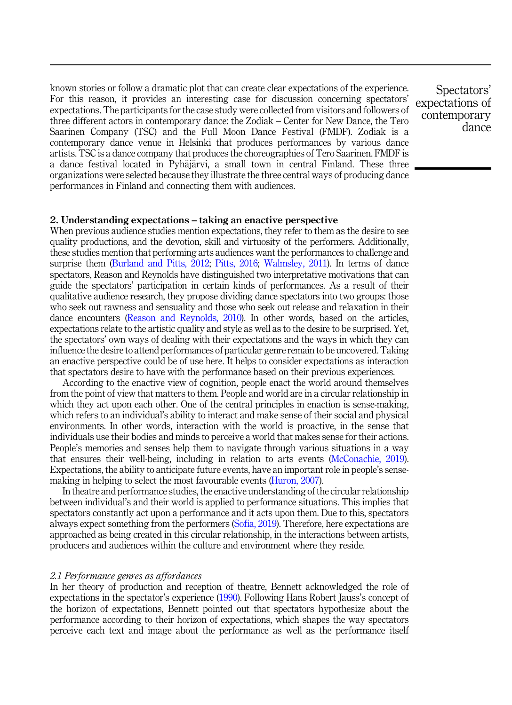known stories or follow a dramatic plot that can create clear expectations of the experience. For this reason, it provides an interesting case for discussion concerning spectators' expectations. The participants for the case study were collected from visitors and followers of three different actors in contemporary dance: the Zodiak – Center for New Dance, the Tero Saarinen Company (TSC) and the Full Moon Dance Festival (FMDF). Zodiak is a contemporary dance venue in Helsinki that produces performances by various dance artists. TSC is a dance company that produces the choreographies of Tero Saarinen. FMDF is a dance festival located in Pyhäjärvi, a small town in central Finland. These three organizations were selected because they illustrate the three central ways of producing dance performances in Finland and connecting them with audiences.

Spectators' expectations of contemporary dance

## 2. Understanding expectations – taking an enactive perspective

When previous audience studies mention expectations, they refer to them as the desire to see quality productions, and the devotion, skill and virtuosity of the performers. Additionally, these studies mention that performing arts audiences want the performances to challenge and surprise them (Burland and Pitts, 2012; Pitts, 2016; Walmsley, 2011). In terms of dance spectators, Reason and Reynolds have distinguished two interpretative motivations that can guide the spectators' participation in certain kinds of performances. As a result of their qualitative audience research, they propose dividing dance spectators into two groups: those who seek out rawness and sensuality and those who seek out release and relaxation in their dance encounters (Reason and Reynolds, 2010). In other words, based on the articles, expectations relate to the artistic quality and style as well as to the desire to be surprised. Yet, the spectators' own ways of dealing with their expectations and the ways in which they can influence the desire to attend performances of particular genre remain to be uncovered. Taking an enactive perspective could be of use here. It helps to consider expectations as interaction that spectators desire to have with the performance based on their previous experiences.

According to the enactive view of cognition, people enact the world around themselves from the point of view that matters to them. People and world are in a circular relationship in which they act upon each other. One of the central principles in enaction is sense-making, which refers to an individual's ability to interact and make sense of their social and physical environments. In other words, interaction with the world is proactive, in the sense that individuals use their bodies and minds to perceive a world that makes sense for their actions. People's memories and senses help them to navigate through various situations in a way that ensures their well-being, including in relation to arts events (McConachie, 2019). Expectations, the ability to anticipate future events, have an important role in people's sensemaking in helping to select the most favourable events (Huron, 2007).

In theatre and performance studies, the enactive understanding of the circular relationship between individual's and their world is applied to performance situations. This implies that spectators constantly act upon a performance and it acts upon them. Due to this, spectators always expect something from the performers (Sofia, 2019). Therefore, here expectations are approached as being created in this circular relationship, in the interactions between artists, producers and audiences within the culture and environment where they reside.

## 2.1 Performance genres as affordances

In her theory of production and reception of theatre, Bennett acknowledged the role of expectations in the spectator's experience (1990). Following Hans Robert Jauss's concept of the horizon of expectations, Bennett pointed out that spectators hypothesize about the performance according to their horizon of expectations, which shapes the way spectators perceive each text and image about the performance as well as the performance itself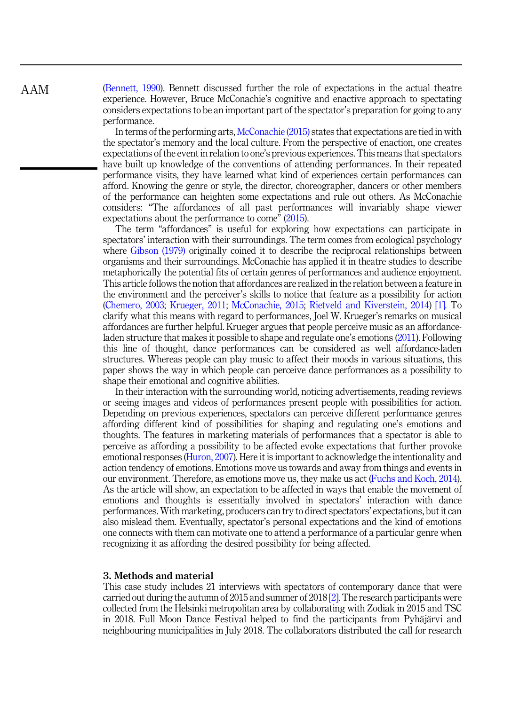(Bennett, 1990). Bennett discussed further the role of expectations in the actual theatre experience. However, Bruce McConachie's cognitive and enactive approach to spectating considers expectations to be an important part of the spectator's preparation for going to any performance.

In terms of the performing arts, McConachie (2015) states that expectations are tied in with the spectator's memory and the local culture. From the perspective of enaction, one creates expectations of the event in relation to one's previous experiences. This means that spectators have built up knowledge of the conventions of attending performances. In their repeated performance visits, they have learned what kind of experiences certain performances can afford. Knowing the genre or style, the director, choreographer, dancers or other members of the performance can heighten some expectations and rule out others. As McConachie considers: "The affordances of all past performances will invariably shape viewer expectations about the performance to come" (2015).

The term "affordances" is useful for exploring how expectations can participate in spectators' interaction with their surroundings. The term comes from ecological psychology where Gibson (1979) originally coined it to describe the reciprocal relationships between organisms and their surroundings. McConachie has applied it in theatre studies to describe metaphorically the potential fits of certain genres of performances and audience enjoyment. This article follows the notion that affordances are realized in the relation between a feature in the environment and the perceiver's skills to notice that feature as a possibility for action (Chemero, 2003; Krueger, 2011; McConachie, 2015; Rietveld and Kiverstein, 2014) [1]. To clarify what this means with regard to performances, Joel W. Krueger's remarks on musical affordances are further helpful. Krueger argues that people perceive music as an affordanceladen structure that makes it possible to shape and regulate one's emotions (2011). Following this line of thought, dance performances can be considered as well affordance-laden structures. Whereas people can play music to affect their moods in various situations, this paper shows the way in which people can perceive dance performances as a possibility to shape their emotional and cognitive abilities.

In their interaction with the surrounding world, noticing advertisements, reading reviews or seeing images and videos of performances present people with possibilities for action. Depending on previous experiences, spectators can perceive different performance genres affording different kind of possibilities for shaping and regulating one's emotions and thoughts. The features in marketing materials of performances that a spectator is able to perceive as affording a possibility to be affected evoke expectations that further provoke emotional responses (Huron, 2007). Here it is important to acknowledge the intentionality and action tendency of emotions. Emotions move us towards and away from things and events in our environment. Therefore, as emotions move us, they make us act (Fuchs and Koch, 2014). As the article will show, an expectation to be affected in ways that enable the movement of emotions and thoughts is essentially involved in spectators' interaction with dance performances. With marketing, producers can try to direct spectators' expectations, but it can also mislead them. Eventually, spectator's personal expectations and the kind of emotions one connects with them can motivate one to attend a performance of a particular genre when recognizing it as affording the desired possibility for being affected.

## 3. Methods and material

This case study includes 21 interviews with spectators of contemporary dance that were carried out during the autumn of 2015 and summer of 2018 [2]. The research participants were collected from the Helsinki metropolitan area by collaborating with Zodiak in 2015 and TSC in 2018. Full Moon Dance Festival helped to find the participants from Pyhäjärvi and neighbouring municipalities in July 2018. The collaborators distributed the call for research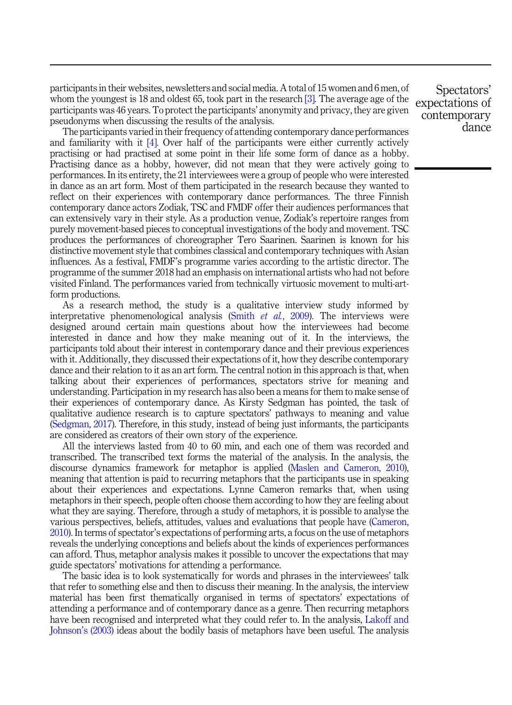participants in their websites, newsletters and social media. A total of 15 women and 6 men, of whom the youngest is 18 and oldest 65, took part in the research [3]. The average age of the participants was 46 years. To protect the participants' anonymity and privacy, they are given pseudonyms when discussing the results of the analysis.

The participants varied in their frequency of attending contemporary dance performances and familiarity with it  $[4]$ . Over half of the participants were either currently actively practising or had practised at some point in their life some form of dance as a hobby. Practising dance as a hobby, however, did not mean that they were actively going to performances. In its entirety, the 21 interviewees were a group of people who were interested in dance as an art form. Most of them participated in the research because they wanted to reflect on their experiences with contemporary dance performances. The three Finnish contemporary dance actors Zodiak, TSC and FMDF offer their audiences performances that can extensively vary in their style. As a production venue, Zodiak's repertoire ranges from purely movement-based pieces to conceptual investigations of the body and movement. TSC produces the performances of choreographer Tero Saarinen. Saarinen is known for his distinctive movement style that combines classical and contemporary techniques with Asian influences. As a festival, FMDF's programme varies according to the artistic director. The programme of the summer 2018 had an emphasis on international artists who had not before visited Finland. The performances varied from technically virtuosic movement to multi-artform productions.

As a research method, the study is a qualitative interview study informed by interpretative phenomenological analysis (Smith  $et$   $al$ , 2009). The interviews were designed around certain main questions about how the interviewees had become interested in dance and how they make meaning out of it. In the interviews, the participants told about their interest in contemporary dance and their previous experiences with it. Additionally, they discussed their expectations of it, how they describe contemporary dance and their relation to it as an art form. The central notion in this approach is that, when talking about their experiences of performances, spectators strive for meaning and understanding. Participation in my research has also been a means for them to make sense of their experiences of contemporary dance. As Kirsty Sedgman has pointed, the task of qualitative audience research is to capture spectators' pathways to meaning and value (Sedgman, 2017). Therefore, in this study, instead of being just informants, the participants are considered as creators of their own story of the experience.

All the interviews lasted from 40 to 60 min, and each one of them was recorded and transcribed. The transcribed text forms the material of the analysis. In the analysis, the discourse dynamics framework for metaphor is applied (Maslen and Cameron, 2010), meaning that attention is paid to recurring metaphors that the participants use in speaking about their experiences and expectations. Lynne Cameron remarks that, when using metaphors in their speech, people often choose them according to how they are feeling about what they are saying. Therefore, through a study of metaphors, it is possible to analyse the various perspectives, beliefs, attitudes, values and evaluations that people have (Cameron, 2010). In terms of spectator's expectations of performing arts, a focus on the use of metaphors reveals the underlying conceptions and beliefs about the kinds of experiences performances can afford. Thus, metaphor analysis makes it possible to uncover the expectations that may guide spectators' motivations for attending a performance.

The basic idea is to look systematically for words and phrases in the interviewees' talk that refer to something else and then to discuss their meaning. In the analysis, the interview material has been first thematically organised in terms of spectators' expectations of attending a performance and of contemporary dance as a genre. Then recurring metaphors have been recognised and interpreted what they could refer to. In the analysis, Lakoff and Johnson's (2003) ideas about the bodily basis of metaphors have been useful. The analysis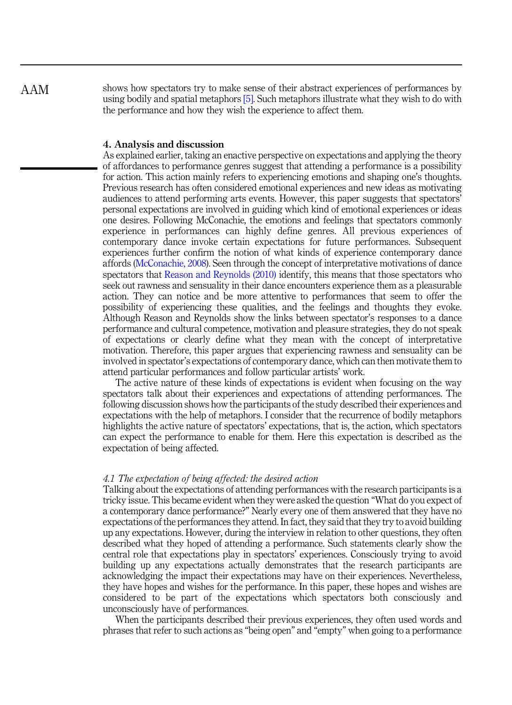AAM

shows how spectators try to make sense of their abstract experiences of performances by using bodily and spatial metaphors [5]. Such metaphors illustrate what they wish to do with the performance and how they wish the experience to affect them.

## 4. Analysis and discussion

As explained earlier, taking an enactive perspective on expectations and applying the theory of affordances to performance genres suggest that attending a performance is a possibility for action. This action mainly refers to experiencing emotions and shaping one's thoughts. Previous research has often considered emotional experiences and new ideas as motivating audiences to attend performing arts events. However, this paper suggests that spectators' personal expectations are involved in guiding which kind of emotional experiences or ideas one desires. Following McConachie, the emotions and feelings that spectators commonly experience in performances can highly define genres. All previous experiences of contemporary dance invoke certain expectations for future performances. Subsequent experiences further confirm the notion of what kinds of experience contemporary dance affords (McConachie, 2008). Seen through the concept of interpretative motivations of dance spectators that Reason and Reynolds (2010) identify, this means that those spectators who seek out rawness and sensuality in their dance encounters experience them as a pleasurable action. They can notice and be more attentive to performances that seem to offer the possibility of experiencing these qualities, and the feelings and thoughts they evoke. Although Reason and Reynolds show the links between spectator's responses to a dance performance and cultural competence, motivation and pleasure strategies, they do not speak of expectations or clearly define what they mean with the concept of interpretative motivation. Therefore, this paper argues that experiencing rawness and sensuality can be involved in spectator's expectations of contemporary dance, which can then motivate them to attend particular performances and follow particular artists' work.

The active nature of these kinds of expectations is evident when focusing on the way spectators talk about their experiences and expectations of attending performances. The following discussion shows how the participants of the study described their experiences and expectations with the help of metaphors. I consider that the recurrence of bodily metaphors highlights the active nature of spectators' expectations, that is, the action, which spectators can expect the performance to enable for them. Here this expectation is described as the expectation of being affected.

## 4.1 The expectation of being affected: the desired action

Talking about the expectations of attending performances with the research participants is a tricky issue. This became evident when they were asked the question "What do you expect of a contemporary dance performance?" Nearly every one of them answered that they have no expectations of the performances they attend. In fact, they said that they try to avoid building up any expectations. However, during the interview in relation to other questions, they often described what they hoped of attending a performance. Such statements clearly show the central role that expectations play in spectators' experiences. Consciously trying to avoid building up any expectations actually demonstrates that the research participants are acknowledging the impact their expectations may have on their experiences. Nevertheless, they have hopes and wishes for the performance. In this paper, these hopes and wishes are considered to be part of the expectations which spectators both consciously and unconsciously have of performances.

When the participants described their previous experiences, they often used words and phrases that refer to such actions as "being open" and "empty" when going to a performance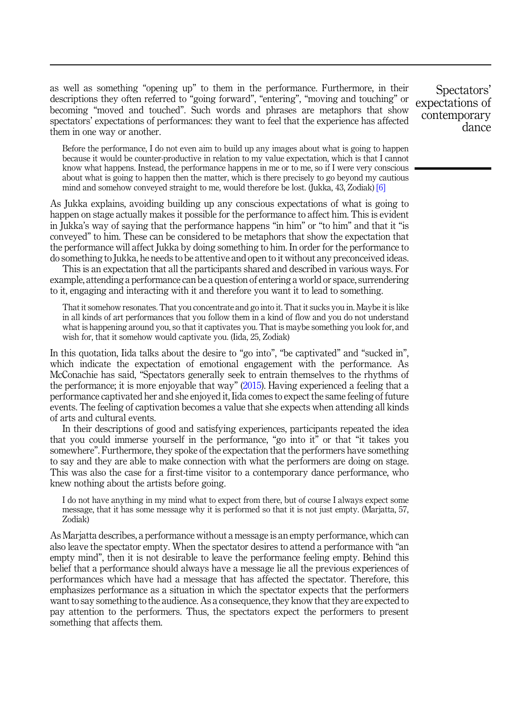as well as something "opening up" to them in the performance. Furthermore, in their descriptions they often referred to "going forward", "entering", "moving and touching" or becoming "moved and touched". Such words and phrases are metaphors that show spectators' expectations of performances: they want to feel that the experience has affected them in one way or another.

Before the performance, I do not even aim to build up any images about what is going to happen because it would be counter-productive in relation to my value expectation, which is that I cannot know what happens. Instead, the performance happens in me or to me, so if I were very conscious about what is going to happen then the matter, which is there precisely to go beyond my cautious mind and somehow conveyed straight to me, would therefore be lost. (Jukka, 43, Zodiak) [6]

As Jukka explains, avoiding building up any conscious expectations of what is going to happen on stage actually makes it possible for the performance to affect him. This is evident in Jukka's way of saying that the performance happens "in him" or "to him" and that it "is conveyed" to him. These can be considered to be metaphors that show the expectation that the performance will affect Jukka by doing something to him. In order for the performance to do something to Jukka, he needs to be attentive and open to it without any preconceived ideas.

This is an expectation that all the participants shared and described in various ways. For example, attending a performance can be a question of entering a world or space, surrendering to it, engaging and interacting with it and therefore you want it to lead to something.

That it somehow resonates. That you concentrate and go into it. That it sucks you in. Maybe it is like in all kinds of art performances that you follow them in a kind of flow and you do not understand what is happening around you, so that it captivates you. That is maybe something you look for, and wish for, that it somehow would captivate you. (Iida, 25, Zodiak)

In this quotation, Iida talks about the desire to "go into", "be captivated" and "sucked in", which indicate the expectation of emotional engagement with the performance. As McConachie has said, "Spectators generally seek to entrain themselves to the rhythms of the performance; it is more enjoyable that way" (2015). Having experienced a feeling that a performance captivated her and she enjoyed it, Iida comes to expect the same feeling of future events. The feeling of captivation becomes a value that she expects when attending all kinds of arts and cultural events.

In their descriptions of good and satisfying experiences, participants repeated the idea that you could immerse yourself in the performance, "go into it" or that "it takes you somewhere". Furthermore, they spoke of the expectation that the performers have something to say and they are able to make connection with what the performers are doing on stage. This was also the case for a first-time visitor to a contemporary dance performance, who knew nothing about the artists before going.

I do not have anything in my mind what to expect from there, but of course I always expect some message, that it has some message why it is performed so that it is not just empty. (Marjatta, 57, Zodiak)

As Marjatta describes, a performance without a message is an empty performance, which can also leave the spectator empty. When the spectator desires to attend a performance with "an empty mind", then it is not desirable to leave the performance feeling empty. Behind this belief that a performance should always have a message lie all the previous experiences of performances which have had a message that has affected the spectator. Therefore, this emphasizes performance as a situation in which the spectator expects that the performers want to say something to the audience. As a consequence, they know that they are expected to pay attention to the performers. Thus, the spectators expect the performers to present something that affects them.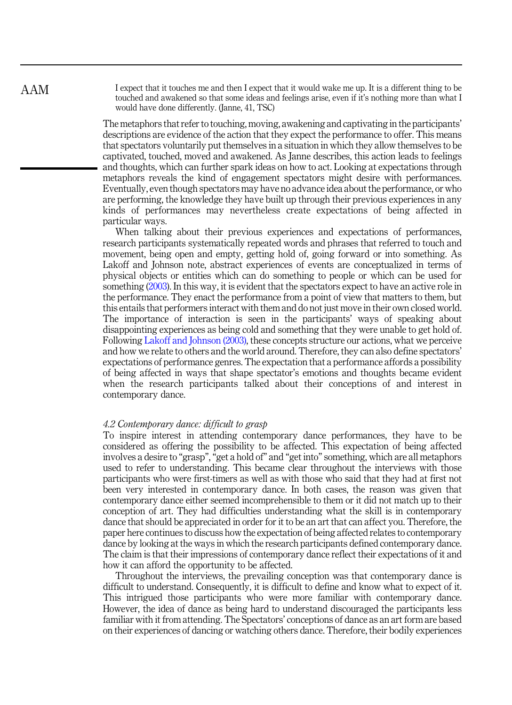I expect that it touches me and then I expect that it would wake me up. It is a different thing to be touched and awakened so that some ideas and feelings arise, even if it's nothing more than what I would have done differently. (Janne, 41, TSC)

The metaphors that refer to touching, moving, awakening and captivating in the participants' descriptions are evidence of the action that they expect the performance to offer. This means that spectators voluntarily put themselves in a situation in which they allow themselves to be captivated, touched, moved and awakened. As Janne describes, this action leads to feelings and thoughts, which can further spark ideas on how to act. Looking at expectations through metaphors reveals the kind of engagement spectators might desire with performances. Eventually, even though spectators may have no advance idea about the performance, or who are performing, the knowledge they have built up through their previous experiences in any kinds of performances may nevertheless create expectations of being affected in particular ways.

When talking about their previous experiences and expectations of performances, research participants systematically repeated words and phrases that referred to touch and movement, being open and empty, getting hold of, going forward or into something. As Lakoff and Johnson note, abstract experiences of events are conceptualized in terms of physical objects or entities which can do something to people or which can be used for something (2003). In this way, it is evident that the spectators expect to have an active role in the performance. They enact the performance from a point of view that matters to them, but this entails that performers interact with them and do not just move in their own closed world. The importance of interaction is seen in the participants' ways of speaking about disappointing experiences as being cold and something that they were unable to get hold of. Following Lakoff and Johnson (2003), these concepts structure our actions, what we perceive and how we relate to others and the world around. Therefore, they can also define spectators' expectations of performance genres. The expectation that a performance affords a possibility of being affected in ways that shape spectator's emotions and thoughts became evident when the research participants talked about their conceptions of and interest in contemporary dance.

## 4.2 Contemporary dance: difficult to grasp

To inspire interest in attending contemporary dance performances, they have to be considered as offering the possibility to be affected. This expectation of being affected involves a desire to "grasp","get a hold of" and "get into" something, which are all metaphors used to refer to understanding. This became clear throughout the interviews with those participants who were first-timers as well as with those who said that they had at first not been very interested in contemporary dance. In both cases, the reason was given that contemporary dance either seemed incomprehensible to them or it did not match up to their conception of art. They had difficulties understanding what the skill is in contemporary dance that should be appreciated in order for it to be an art that can affect you. Therefore, the paper here continues to discuss how the expectation of being affected relates to contemporary dance by looking at the ways in which the research participants defined contemporary dance. The claim is that their impressions of contemporary dance reflect their expectations of it and how it can afford the opportunity to be affected.

Throughout the interviews, the prevailing conception was that contemporary dance is difficult to understand. Consequently, it is difficult to define and know what to expect of it. This intrigued those participants who were more familiar with contemporary dance. However, the idea of dance as being hard to understand discouraged the participants less familiar with it from attending. The Spectators' conceptions of dance as an art form are based on their experiences of dancing or watching others dance. Therefore, their bodily experiences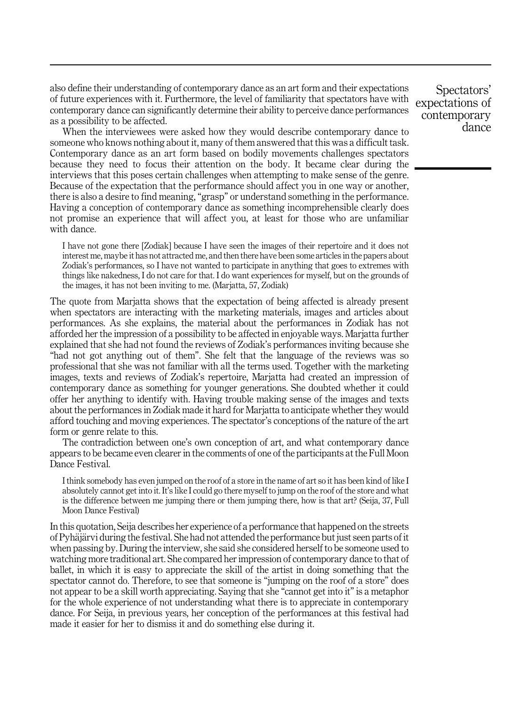also define their understanding of contemporary dance as an art form and their expectations of future experiences with it. Furthermore, the level of familiarity that spectators have with contemporary dance can significantly determine their ability to perceive dance performances as a possibility to be affected.

When the interviewees were asked how they would describe contemporary dance to someone who knows nothing about it, many of them answered that this was a difficult task. Contemporary dance as an art form based on bodily movements challenges spectators because they need to focus their attention on the body. It became clear during the interviews that this poses certain challenges when attempting to make sense of the genre. Because of the expectation that the performance should affect you in one way or another, there is also a desire to find meaning, "grasp" or understand something in the performance. Having a conception of contemporary dance as something incomprehensible clearly does not promise an experience that will affect you, at least for those who are unfamiliar with dance.

I have not gone there [Zodiak] because I have seen the images of their repertoire and it does not interest me, maybe it has not attracted me, and then there have been some articles in the papers about Zodiak's performances, so I have not wanted to participate in anything that goes to extremes with things like nakedness, I do not care for that. I do want experiences for myself, but on the grounds of the images, it has not been inviting to me. (Marjatta, 57, Zodiak)

The quote from Marjatta shows that the expectation of being affected is already present when spectators are interacting with the marketing materials, images and articles about performances. As she explains, the material about the performances in Zodiak has not afforded her the impression of a possibility to be affected in enjoyable ways. Marjatta further explained that she had not found the reviews of Zodiak's performances inviting because she "had not got anything out of them". She felt that the language of the reviews was so professional that she was not familiar with all the terms used. Together with the marketing images, texts and reviews of Zodiak's repertoire, Marjatta had created an impression of contemporary dance as something for younger generations. She doubted whether it could offer her anything to identify with. Having trouble making sense of the images and texts about the performances in Zodiak made it hard for Marjatta to anticipate whether they would afford touching and moving experiences. The spectator's conceptions of the nature of the art form or genre relate to this.

The contradiction between one's own conception of art, and what contemporary dance appears to be became even clearer in the comments of one of the participants at the Full Moon Dance Festival.

I think somebody has even jumped on the roof of a store in the name of art so it has been kind of like I absolutely cannot get into it. It's like I could go there myself to jump on the roof of the store and what is the difference between me jumping there or them jumping there, how is that art? (Seija, 37, Full Moon Dance Festival)

In this quotation, Seija describes her experience of a performance that happened on the streets of Pyhäjärvi during the festival. She had not attended the performance but just seen parts of it when passing by. During the interview, she said she considered herself to be someone used to watching more traditional art. She compared her impression of contemporary dance to that of ballet, in which it is easy to appreciate the skill of the artist in doing something that the spectator cannot do. Therefore, to see that someone is "jumping on the roof of a store" does not appear to be a skill worth appreciating. Saying that she "cannot get into it" is a metaphor for the whole experience of not understanding what there is to appreciate in contemporary dance. For Seija, in previous years, her conception of the performances at this festival had made it easier for her to dismiss it and do something else during it.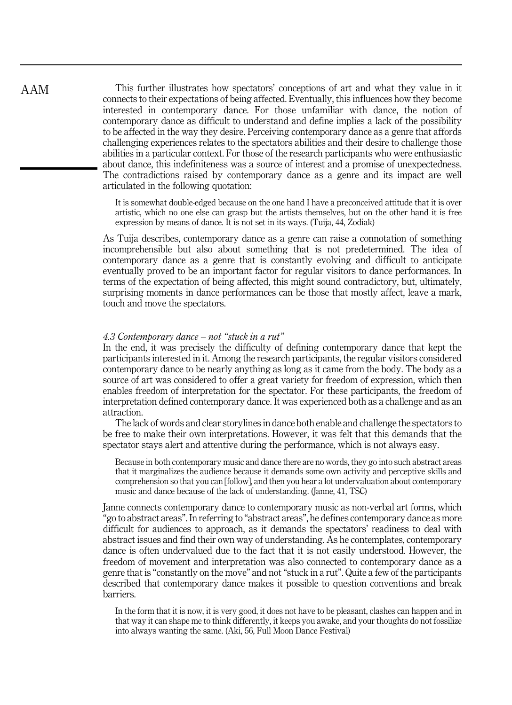This further illustrates how spectators' conceptions of art and what they value in it connects to their expectations of being affected. Eventually, this influences how they become interested in contemporary dance. For those unfamiliar with dance, the notion of contemporary dance as difficult to understand and define implies a lack of the possibility to be affected in the way they desire. Perceiving contemporary dance as a genre that affords challenging experiences relates to the spectators abilities and their desire to challenge those abilities in a particular context. For those of the research participants who were enthusiastic about dance, this indefiniteness was a source of interest and a promise of unexpectedness. The contradictions raised by contemporary dance as a genre and its impact are well articulated in the following quotation:

It is somewhat double-edged because on the one hand I have a preconceived attitude that it is over artistic, which no one else can grasp but the artists themselves, but on the other hand it is free expression by means of dance. It is not set in its ways. (Tuija, 44, Zodiak)

As Tuija describes, contemporary dance as a genre can raise a connotation of something incomprehensible but also about something that is not predetermined. The idea of contemporary dance as a genre that is constantly evolving and difficult to anticipate eventually proved to be an important factor for regular visitors to dance performances. In terms of the expectation of being affected, this might sound contradictory, but, ultimately, surprising moments in dance performances can be those that mostly affect, leave a mark, touch and move the spectators.

## 4.3 Contemporary dance – not "stuck in a rut"

In the end, it was precisely the difficulty of defining contemporary dance that kept the participants interested in it. Among the research participants, the regular visitors considered contemporary dance to be nearly anything as long as it came from the body. The body as a source of art was considered to offer a great variety for freedom of expression, which then enables freedom of interpretation for the spectator. For these participants, the freedom of interpretation defined contemporary dance. It was experienced both as a challenge and as an attraction.

The lack of words and clear storylines in dance both enable and challenge the spectators to be free to make their own interpretations. However, it was felt that this demands that the spectator stays alert and attentive during the performance, which is not always easy.

Because in both contemporary music and dance there are no words, they go into such abstract areas that it marginalizes the audience because it demands some own activity and perceptive skills and comprehension so that you can [follow], and then you hear a lot undervaluation about contemporary music and dance because of the lack of understanding. (Janne, 41, TSC)

Janne connects contemporary dance to contemporary music as non-verbal art forms, which "go to abstract areas". In referring to "abstract areas", he defines contemporary dance as more difficult for audiences to approach, as it demands the spectators' readiness to deal with abstract issues and find their own way of understanding. As he contemplates, contemporary dance is often undervalued due to the fact that it is not easily understood. However, the freedom of movement and interpretation was also connected to contemporary dance as a genre that is "constantly on the move" and not "stuck in a rut". Quite a few of the participants described that contemporary dance makes it possible to question conventions and break barriers.

In the form that it is now, it is very good, it does not have to be pleasant, clashes can happen and in that way it can shape me to think differently, it keeps you awake, and your thoughts do not fossilize into always wanting the same. (Aki, 56, Full Moon Dance Festival)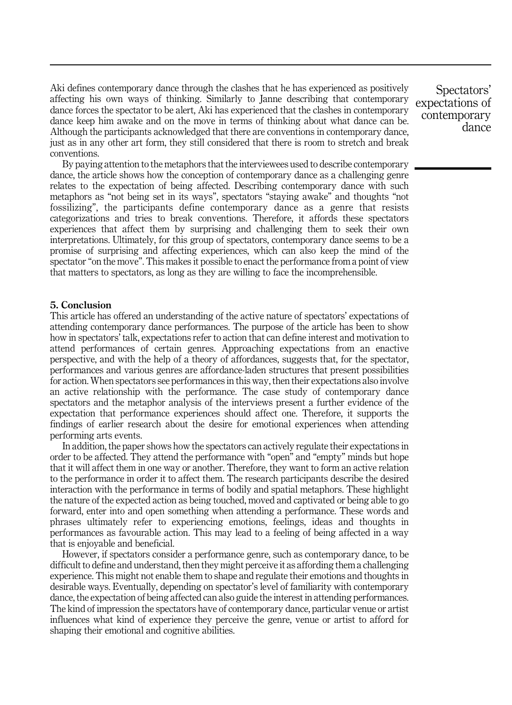Aki defines contemporary dance through the clashes that he has experienced as positively affecting his own ways of thinking. Similarly to Janne describing that contemporary dance forces the spectator to be alert, Aki has experienced that the clashes in contemporary dance keep him awake and on the move in terms of thinking about what dance can be. Although the participants acknowledged that there are conventions in contemporary dance, just as in any other art form, they still considered that there is room to stretch and break conventions.

By paying attention to the metaphors that the interviewees used to describe contemporary dance, the article shows how the conception of contemporary dance as a challenging genre relates to the expectation of being affected. Describing contemporary dance with such metaphors as "not being set in its ways", spectators "staying awake" and thoughts "not fossilizing", the participants define contemporary dance as a genre that resists categorizations and tries to break conventions. Therefore, it affords these spectators experiences that affect them by surprising and challenging them to seek their own interpretations. Ultimately, for this group of spectators, contemporary dance seems to be a promise of surprising and affecting experiences, which can also keep the mind of the spectator"on the move". This makes it possible to enact the performance from a point of view that matters to spectators, as long as they are willing to face the incomprehensible.

## 5. Conclusion

This article has offered an understanding of the active nature of spectators' expectations of attending contemporary dance performances. The purpose of the article has been to show how in spectators' talk, expectations refer to action that can define interest and motivation to attend performances of certain genres. Approaching expectations from an enactive perspective, and with the help of a theory of affordances, suggests that, for the spectator, performances and various genres are affordance-laden structures that present possibilities for action. When spectators see performances in this way, then their expectations also involve an active relationship with the performance. The case study of contemporary dance spectators and the metaphor analysis of the interviews present a further evidence of the expectation that performance experiences should affect one. Therefore, it supports the findings of earlier research about the desire for emotional experiences when attending performing arts events.

In addition, the paper shows how the spectators can actively regulate their expectations in order to be affected. They attend the performance with "open" and "empty" minds but hope that it will affect them in one way or another. Therefore, they want to form an active relation to the performance in order it to affect them. The research participants describe the desired interaction with the performance in terms of bodily and spatial metaphors. These highlight the nature of the expected action as being touched, moved and captivated or being able to go forward, enter into and open something when attending a performance. These words and phrases ultimately refer to experiencing emotions, feelings, ideas and thoughts in performances as favourable action. This may lead to a feeling of being affected in a way that is enjoyable and beneficial.

However, if spectators consider a performance genre, such as contemporary dance, to be difficult to define and understand, then they might perceive it as affording them a challenging experience. This might not enable them to shape and regulate their emotions and thoughts in desirable ways. Eventually, depending on spectator's level of familiarity with contemporary dance, the expectation of being affected can also guide the interest in attending performances. The kind of impression the spectators have of contemporary dance, particular venue or artist influences what kind of experience they perceive the genre, venue or artist to afford for shaping their emotional and cognitive abilities.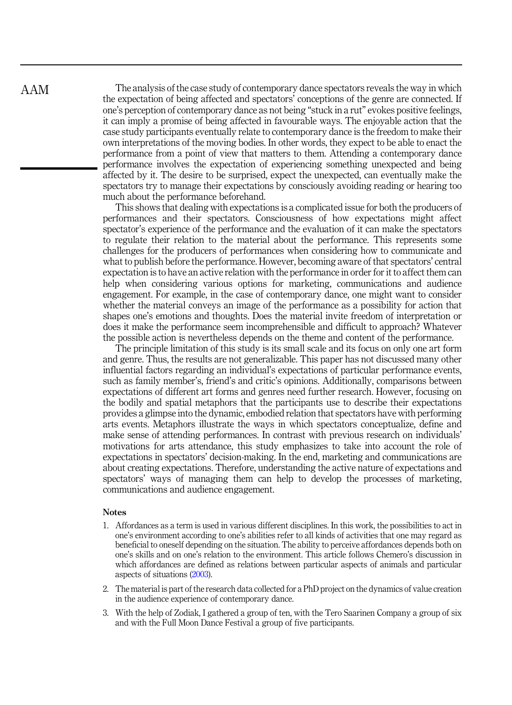The analysis of the case study of contemporary dance spectators reveals the way in which the expectation of being affected and spectators' conceptions of the genre are connected. If one's perception of contemporary dance as not being "stuck in a rut" evokes positive feelings, it can imply a promise of being affected in favourable ways. The enjoyable action that the case study participants eventually relate to contemporary dance is the freedom to make their own interpretations of the moving bodies. In other words, they expect to be able to enact the performance from a point of view that matters to them. Attending a contemporary dance performance involves the expectation of experiencing something unexpected and being affected by it. The desire to be surprised, expect the unexpected, can eventually make the spectators try to manage their expectations by consciously avoiding reading or hearing too much about the performance beforehand.

This shows that dealing with expectations is a complicated issue for both the producers of performances and their spectators. Consciousness of how expectations might affect spectator's experience of the performance and the evaluation of it can make the spectators to regulate their relation to the material about the performance. This represents some challenges for the producers of performances when considering how to communicate and what to publish before the performance. However, becoming aware of that spectators' central expectation is to have an active relation with the performance in order for it to affect them can help when considering various options for marketing, communications and audience engagement. For example, in the case of contemporary dance, one might want to consider whether the material conveys an image of the performance as a possibility for action that shapes one's emotions and thoughts. Does the material invite freedom of interpretation or does it make the performance seem incomprehensible and difficult to approach? Whatever the possible action is nevertheless depends on the theme and content of the performance.

The principle limitation of this study is its small scale and its focus on only one art form and genre. Thus, the results are not generalizable. This paper has not discussed many other influential factors regarding an individual's expectations of particular performance events, such as family member's, friend's and critic's opinions. Additionally, comparisons between expectations of different art forms and genres need further research. However, focusing on the bodily and spatial metaphors that the participants use to describe their expectations provides a glimpse into the dynamic, embodied relation that spectators have with performing arts events. Metaphors illustrate the ways in which spectators conceptualize, define and make sense of attending performances. In contrast with previous research on individuals' motivations for arts attendance, this study emphasizes to take into account the role of expectations in spectators' decision-making. In the end, marketing and communications are about creating expectations. Therefore, understanding the active nature of expectations and spectators' ways of managing them can help to develop the processes of marketing, communications and audience engagement.

## **Notes**

- 1. Affordances as a term is used in various different disciplines. In this work, the possibilities to act in one's environment according to one's abilities refer to all kinds of activities that one may regard as beneficial to oneself depending on the situation. The ability to perceive affordances depends both on one's skills and on one's relation to the environment. This article follows Chemero's discussion in which affordances are defined as relations between particular aspects of animals and particular aspects of situations (2003).
- 2. The material is part of the research data collected for a PhD project on the dynamics of value creation in the audience experience of contemporary dance.
- 3. With the help of Zodiak, I gathered a group of ten, with the Tero Saarinen Company a group of six and with the Full Moon Dance Festival a group of five participants.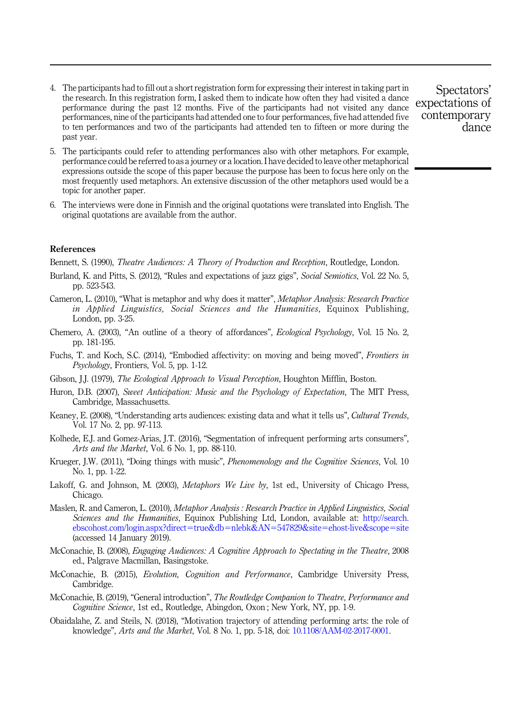- 4. The participants had to fill out a short registration form for expressing their interest in taking part in the research. In this registration form, I asked them to indicate how often they had visited a dance performance during the past 12 months. Five of the participants had not visited any dance performances, nine of the participants had attended one to four performances, five had attended five to ten performances and two of the participants had attended ten to fifteen or more during the past year.
- 5. The participants could refer to attending performances also with other metaphors. For example, performance could be referred to as a journey or a location. I have decided to leave other metaphorical expressions outside the scope of this paper because the purpose has been to focus here only on the most frequently used metaphors. An extensive discussion of the other metaphors used would be a topic for another paper.
- 6. The interviews were done in Finnish and the original quotations were translated into English. The original quotations are available from the author.

## References

Bennett, S. (1990), *Theatre Audiences: A Theory of Production and Reception*, Routledge, London.

- Burland, K. and Pitts, S. (2012), "Rules and expectations of jazz gigs", Social Semiotics, Vol. 22 No. 5, pp. 523-543.
- Cameron, L. (2010), "What is metaphor and why does it matter", Metaphor Analysis: Research Practice in Applied Linguistics, Social Sciences and the Humanities, Equinox Publishing, London, pp. 3-25.
- Chemero, A. (2003), "An outline of a theory of affordances", Ecological Psychology, Vol. 15 No. 2, pp. 181-195.
- Fuchs, T. and Koch, S.C. (2014), "Embodied affectivity: on moving and being moved", Frontiers in Psychology, Frontiers, Vol. 5, pp. 1-12.
- Gibson, J.J. (1979), The Ecological Approach to Visual Perception, Houghton Mifflin, Boston.
- Huron, D.B. (2007), Sweet Anticipation: Music and the Psychology of Expectation, The MIT Press, Cambridge, Massachusetts.
- Keaney, E. (2008), "Understanding arts audiences: existing data and what it tells us", Cultural Trends, Vol. 17 No. 2, pp. 97-113.
- Kolhede, E.J. and Gomez-Arias, J.T. (2016), "Segmentation of infrequent performing arts consumers", Arts and the Market, Vol. 6 No. 1, pp. 88-110.
- Krueger, J.W. (2011), "Doing things with music", *Phenomenology and the Cognitive Sciences*, Vol. 10 No. 1, pp. 1-22.
- Lakoff, G. and Johnson, M. (2003), Metaphors We Live by, 1st ed., University of Chicago Press, Chicago.
- Maslen, R. and Cameron, L. (2010), Metaphor Analysis : Research Practice in Applied Linguistics, Social Sciences and the Humanities, Equinox Publishing Ltd, London, available at: [http://search.](http://search.ebscohost.com/login.aspx?direct=true&db=nlebk&AN=547829&site=ehost-live&scope=site) [ebscohost.com/login.aspx?direct](http://search.ebscohost.com/login.aspx?direct=true&db=nlebk&AN=547829&site=ehost-live&scope=site)=[true&db](http://search.ebscohost.com/login.aspx?direct=true&db=nlebk&AN=547829&site=ehost-live&scope=site)=[nlebk&AN](http://search.ebscohost.com/login.aspx?direct=true&db=nlebk&AN=547829&site=ehost-live&scope=site)=[547829&site](http://search.ebscohost.com/login.aspx?direct=true&db=nlebk&AN=547829&site=ehost-live&scope=site)=[ehost-live&scope](http://search.ebscohost.com/login.aspx?direct=true&db=nlebk&AN=547829&site=ehost-live&scope=site)=[site](http://search.ebscohost.com/login.aspx?direct=true&db=nlebk&AN=547829&site=ehost-live&scope=site) (accessed 14 January 2019).
- McConachie, B. (2008), Engaging Audiences: A Cognitive Approach to Spectating in the Theatre, 2008 ed., Palgrave Macmillan, Basingstoke.
- McConachie, B. (2015), Evolution, Cognition and Performance, Cambridge University Press, Cambridge.
- McConachie, B. (2019), "General introduction", The Routledge Companion to Theatre, Performance and Cognitive Science, 1st ed., Routledge, Abingdon, Oxon ; New York, NY, pp. 1-9.
- Obaidalahe, Z. and Steils, N. (2018), "Motivation trajectory of attending performing arts: the role of knowledge", Arts and the Market, Vol. 8 No. 1, pp. 5-18, doi: [10.1108/AAM-02-2017-0001](https://doi.org/10.1108/AAM-02-2017-0001).